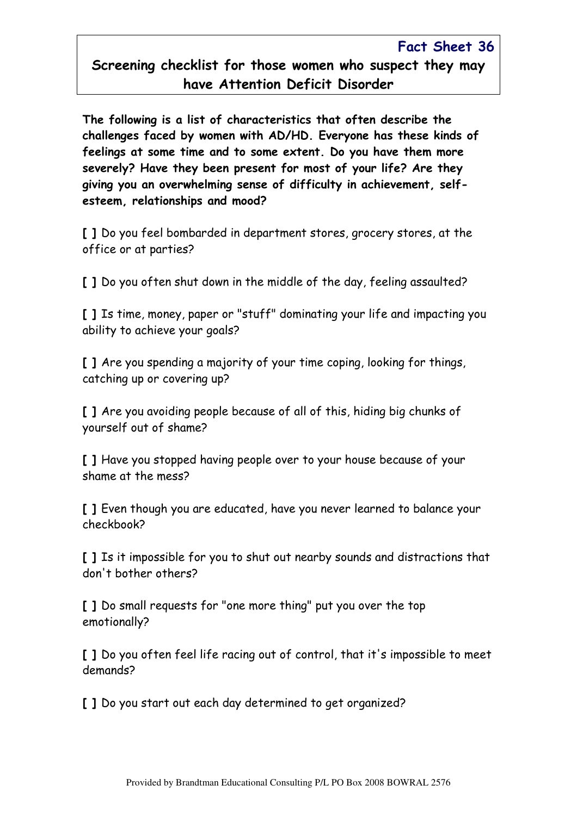## Fact Sheet 36 Screening checklist for those women who suspect they may have Attention Deficit Disorder

The following is a list of characteristics that often describe the challenges faced by women with AD/HD. Everyone has these kinds of feelings at some time and to some extent. Do you have them more severely? Have they been present for most of your life? Are they giving you an overwhelming sense of difficulty in achievement, selfesteem, relationships and mood?

[ ] Do you feel bombarded in department stores, grocery stores, at the office or at parties?

[ ] Do you often shut down in the middle of the day, feeling assaulted?

[ ] Is time, money, paper or "stuff" dominating your life and impacting you ability to achieve your goals?

[ ] Are you spending a majority of your time coping, looking for things. catching up or covering up?

[ ] Are you avoiding people because of all of this, hiding big chunks of yourself out of shame?

[ ] Have you stopped having people over to your house because of your shame at the mess?

[ ] Even though you are educated, have you never learned to balance your checkbook?

[ ] Is it impossible for you to shut out nearby sounds and distractions that don't bother others?

[ ] Do small requests for "one more thing" put you over the top emotionally?

[] Do you often feel life racing out of control, that it's impossible to meet demands?

[ ] Do you start out each day determined to get organized?